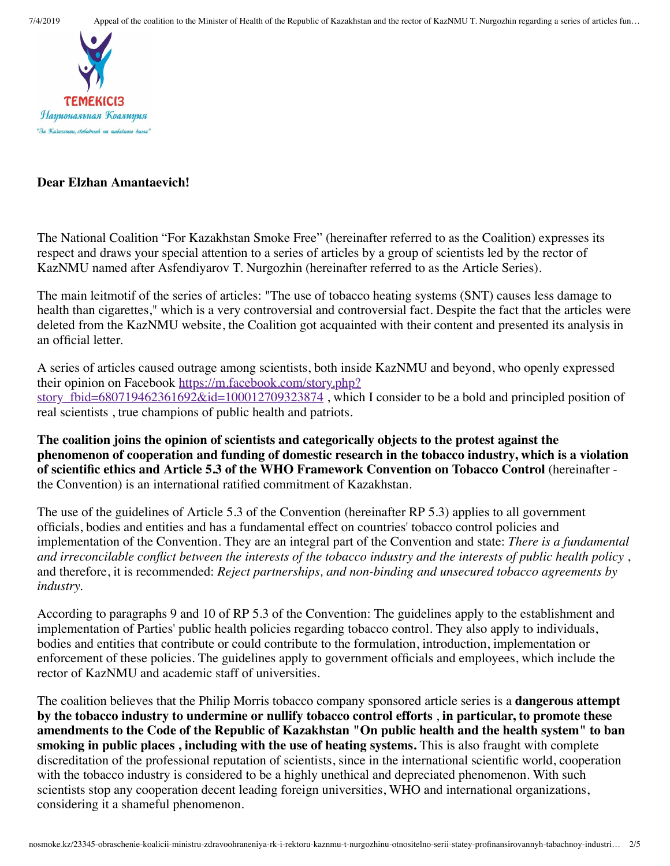

#### **Dear Elzhan Amantaevich!**

The National Coalition "For Kazakhstan Smoke Free" (hereinafter referred to as the Coalition) expresses its respect and draws your special attention to a series of articles by a group of scientists led by the rector of KazNMU named after Asfendiyarov T. Nurgozhin (hereinafter referred to as the Article Series).

The main leitmotif of the series of articles: "The use of tobacco heating systems (SNT) causes less damage to health than cigarettes," which is a very controversial and controversial fact. Despite the fact that the articles were deleted from the KazNMU website, the Coalition got acquainted with their content and presented its analysis in an official letter.

A series of articles caused outrage among scientists, both inside KazNMU and beyond, who openly expressed their opinion on Facebook https://m.facebook.com/story.php? story\_fbid=680719462361692&id=100012709323874, which I consider to be a bold and principled position of real scientists , true champions of public health and patriots.

**The coalition joins the opinion of scientists and categorically objects to the protest against the phenomenon of cooperation and funding of domestic research in the tobacco industry, which is a violation of scientific ethics and Article 5.3 of the WHO Framework Convention on Tobacco Control** (hereinafter the Convention) is an international ratified commitment of Kazakhstan.

The use of the guidelines of Article 5.3 of the Convention (hereinafter RP 5.3) applies to all government officials, bodies and entities and has a fundamental effect on countries' tobacco control policies and implementation of the Convention. They are an integral part of the Convention and state: *There is a fundamental and irreconcilable conflict between the interests of the tobacco industry and the interests of public health policy* , and therefore, it is recommended: *Reject partnerships, and non-binding and unsecured tobacco agreements by industry.*

According to paragraphs 9 and 10 of RP 5.3 of the Convention: The guidelines apply to the establishment and implementation of Parties' public health policies regarding tobacco control. They also apply to individuals, bodies and entities that contribute or could contribute to the formulation, introduction, implementation or enforcement of these policies. The guidelines apply to government officials and employees, which include the rector of KazNMU and academic staff of universities.

The coalition believes that the Philip Morris tobacco company sponsored article series is a **dangerous attempt by the tobacco industry to undermine or nullify tobacco control efforts** , **in particular, to promote these amendments to the Code of the Republic of Kazakhstan "On public health and the health system" to ban smoking in public places , including with the use of heating systems.** This is also fraught with complete discreditation of the professional reputation of scientists, since in the international scientific world, cooperation with the tobacco industry is considered to be a highly unethical and depreciated phenomenon. With such scientists stop any cooperation decent leading foreign universities, WHO and international organizations, considering it a shameful phenomenon.